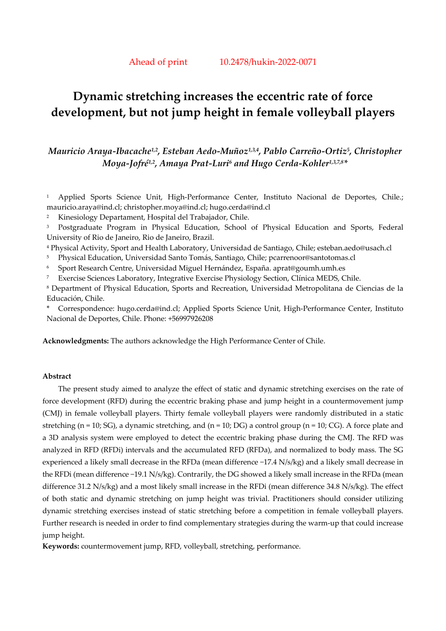# **Dynamic stretching increases the eccentric rate of force development, but not jump height in female volleyball players**

# *Mauricio Araya-Ibacache1,2, Esteban Aedo-Muñoz1,3,4, Pablo Carreño-Ortiz5, Christopher Moya-Jofré1,2, Amaya Prat-Luri6 and Hugo Cerda-Kohler1,3,7,8\**

1 Applied Sports Science Unit, High-Performance Center, Instituto Nacional de Deportes, Chile.; mauricio.araya@ind.cl; christopher.moya@ind.cl; hugo.cerda@ind.cl

2 Kinesiology Departament, Hospital del Trabajador, Chile.

<sup>3</sup> Postgraduate Program in Physical Education, School of Physical Education and Sports, Federal University of Rio de Janeiro, Rio de Janeiro, Brazil.

4 Physical Activity, Sport and Health Laboratory, Universidad de Santiago, Chile; esteban.aedo@usach.cl

5 Physical Education, Universidad Santo Tomás, Santiago, Chile; pcarrenoor@santotomas.cl

6 Sport Research Centre, Universidad Miguel Hernández, España. aprat@goumh.umh.es

7 Exercise Sciences Laboratory, Integrative Exercise Physiology Section, Clínica MEDS, Chile.

8 Department of Physical Education, Sports and Recreation, Universidad Metropolitana de Ciencias de la Educación, Chile.

\* Correspondence: hugo.cerda@ind.cl; Applied Sports Science Unit, High-Performance Center, Instituto Nacional de Deportes, Chile. Phone: +56997926208

**Acknowledgments:** The authors acknowledge the High Performance Center of Chile.

# **Abstract**

The present study aimed to analyze the effect of static and dynamic stretching exercises on the rate of force development (RFD) during the eccentric braking phase and jump height in a countermovement jump (CMJ) in female volleyball players. Thirty female volleyball players were randomly distributed in a static stretching (n = 10; SG), a dynamic stretching, and (n = 10; DG) a control group (n = 10; CG). A force plate and a 3D analysis system were employed to detect the eccentric braking phase during the CMJ. The RFD was analyzed in RFD (RFDi) intervals and the accumulated RFD (RFDa), and normalized to body mass. The SG experienced a likely small decrease in the RFDa (mean difference −17.4 N/s/kg) and a likely small decrease in the RFDi (mean difference −19.1 N/s/kg). Contrarily, the DG showed a likely small increase in the RFDa (mean difference 31.2 N/s/kg) and a most likely small increase in the RFDi (mean difference 34.8 N/s/kg). The effect of both static and dynamic stretching on jump height was trivial. Practitioners should consider utilizing dynamic stretching exercises instead of static stretching before a competition in female volleyball players. Further research is needed in order to find complementary strategies during the warm-up that could increase jump height.

**Keywords:** countermovement jump, RFD, volleyball, stretching, performance.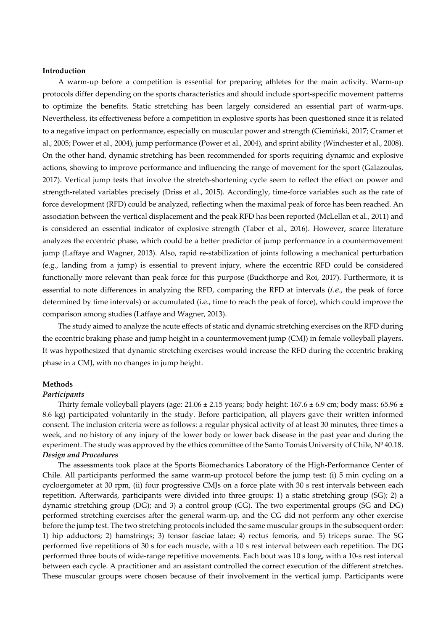# **Introduction**

A warm-up before a competition is essential for preparing athletes for the main activity. Warm-up protocols differ depending on the sports characteristics and should include sport-specific movement patterns to optimize the benefits. Static stretching has been largely considered an essential part of warm-ups. Nevertheless, its effectiveness before a competition in explosive sports has been questioned since it is related to a negative impact on performance, especially on muscular power and strength (Ciemiński, 2017; Cramer et al., 2005; Power et al., 2004), jump performance (Power et al., 2004), and sprint ability (Winchester et al., 2008). On the other hand, dynamic stretching has been recommended for sports requiring dynamic and explosive actions, showing to improve performance and influencing the range of movement for the sport (Galazoulas, 2017). Vertical jump tests that involve the stretch-shortening cycle seem to reflect the effect on power and strength-related variables precisely (Driss et al., 2015). Accordingly, time-force variables such as the rate of force development (RFD) could be analyzed, reflecting when the maximal peak of force has been reached. An association between the vertical displacement and the peak RFD has been reported (McLellan et al., 2011) and is considered an essential indicator of explosive strength (Taber et al., 2016). However, scarce literature analyzes the eccentric phase, which could be a better predictor of jump performance in a countermovement jump (Laffaye and Wagner, 2013). Also, rapid re-stabilization of joints following a mechanical perturbation (e.g., landing from a jump) is essential to prevent injury, where the eccentric RFD could be considered functionally more relevant than peak force for this purpose (Buckthorpe and Roi, 2017). Furthermore, it is essential to note differences in analyzing the RFD, comparing the RFD at intervals (*i.e*., the peak of force determined by time intervals) or accumulated (i.e., time to reach the peak of force), which could improve the comparison among studies (Laffaye and Wagner, 2013).

The study aimed to analyze the acute effects of static and dynamic stretching exercises on the RFD during the eccentric braking phase and jump height in a countermovement jump (CMJ) in female volleyball players. It was hypothesized that dynamic stretching exercises would increase the RFD during the eccentric braking phase in a CMJ, with no changes in jump height.

#### **Methods**

#### *Participants*

Thirty female volleyball players (age: 21.06 ± 2.15 years; body height: 167.6 ± 6.9 cm; body mass: 65.96 ± 8.6 kg) participated voluntarily in the study. Before participation, all players gave their written informed consent. The inclusion criteria were as follows: a regular physical activity of at least 30 minutes, three times a week, and no history of any injury of the lower body or lower back disease in the past year and during the experiment. The study was approved by the ethics committee of the Santo Tomás University of Chile, Nº 40.18. *Design and Procedures* 

The assessments took place at the Sports Biomechanics Laboratory of the High-Performance Center of Chile. All participants performed the same warm-up protocol before the jump test: (i) 5 min cycling on a cycloergometer at 30 rpm, (ii) four progressive CMJs on a force plate with 30 s rest intervals between each repetition. Afterwards, participants were divided into three groups: 1) a static stretching group (SG); 2) a dynamic stretching group (DG); and 3) a control group (CG). The two experimental groups (SG and DG) performed stretching exercises after the general warm-up, and the CG did not perform any other exercise before the jump test. The two stretching protocols included the same muscular groups in the subsequent order: 1) hip adductors; 2) hamstrings; 3) tensor fasciae latae; 4) rectus femoris, and 5) triceps surae. The SG performed five repetitions of 30 s for each muscle, with a 10 s rest interval between each repetition. The DG performed three bouts of wide-range repetitive movements. Each bout was 10 s long, with a 10-s rest interval between each cycle. A practitioner and an assistant controlled the correct execution of the different stretches. These muscular groups were chosen because of their involvement in the vertical jump. Participants were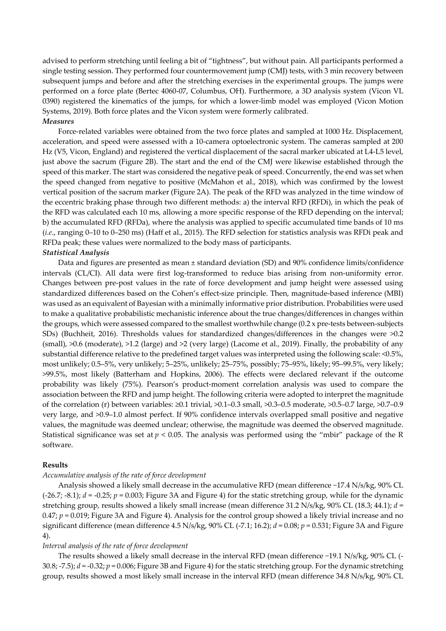advised to perform stretching until feeling a bit of "tightness", but without pain. All participants performed a single testing session. They performed four countermovement jump (CMJ) tests, with 3 min recovery between subsequent jumps and before and after the stretching exercises in the experimental groups. The jumps were performed on a force plate (Bertec 4060-07, Columbus, OH). Furthermore, a 3D analysis system (Vicon VL 0390) registered the kinematics of the jumps, for which a lower-limb model was employed (Vicon Motion Systems, 2019). Both force plates and the Vicon system were formerly calibrated. *Measures* 

Force-related variables were obtained from the two force plates and sampled at 1000 Hz. Displacement, acceleration, and speed were assessed with a 10-camera optoelectronic system. The cameras sampled at 200 Hz (V5, Vicon, England) and registered the vertical displacement of the sacral marker ubicated at L4-L5 level, just above the sacrum (Figure 2B). The start and the end of the CMJ were likewise established through the speed of this marker. The start was considered the negative peak of speed. Concurrently, the end was set when the speed changed from negative to positive (McMahon et al., 2018), which was confirmed by the lowest vertical position of the sacrum marker (Figure 2A). The peak of the RFD was analyzed in the time window of the eccentric braking phase through two different methods: a) the interval RFD (RFDi), in which the peak of the RFD was calculated each 10 ms, allowing a more specific response of the RFD depending on the interval; b) the accumulated RFD (RFDa), where the analysis was applied to specific accumulated time bands of 10 ms (*i.e*., ranging 0–10 to 0–250 ms) (Haff et al., 2015). The RFD selection for statistics analysis was RFDi peak and RFDa peak; these values were normalized to the body mass of participants.

# *Statistical Analysis*

Data and figures are presented as mean ± standard deviation (SD) and 90% confidence limits/confidence intervals (CL/CI). All data were first log-transformed to reduce bias arising from non-uniformity error. Changes between pre-post values in the rate of force development and jump height were assessed using standardized differences based on the Cohen's effect-size principle. Then, magnitude-based inference (MBI) was used as an equivalent of Bayesian with a minimally informative prior distribution. Probabilities were used to make a qualitative probabilistic mechanistic inference about the true changes/differences in changes within the groups, which were assessed compared to the smallest worthwhile change (0.2 x pre-tests between-subjects SDs) (Buchheit, 2016). Thresholds values for standardized changes/differences in the changes were >0.2 (small), >0.6 (moderate), >1.2 (large) and >2 (very large) (Lacome et al., 2019). Finally, the probability of any substantial difference relative to the predefined target values was interpreted using the following scale: <0.5%, most unlikely; 0.5–5%, very unlikely; 5–25%, unlikely; 25–75%, possibly; 75–95%, likely; 95–99.5%, very likely; >99.5%, most likely (Batterham and Hopkins, 2006). The effects were declared relevant if the outcome probability was likely (75%). Pearson's product-moment correlation analysis was used to compare the association between the RFD and jump height. The following criteria were adopted to interpret the magnitude of the correlation (r) between variables: ≥0.1 trivial, >0.1–0.3 small, >0.3–0.5 moderate, >0.5–0.7 large, >0.7–0.9 very large, and >0.9–1.0 almost perfect. If 90% confidence intervals overlapped small positive and negative values, the magnitude was deemed unclear; otherwise, the magnitude was deemed the observed magnitude. Statistical significance was set at  $p < 0.05$ . The analysis was performed using the "mbir" package of the R software.

#### **Results**

### *Accumulative analysis of the rate of force development*

Analysis showed a likely small decrease in the accumulative RFD (mean difference −17.4 N/s/kg, 90% CL  $(-26.7; -8.1); d = -0.25; p = 0.003;$  Figure 3A and Figure 4) for the static stretching group, while for the dynamic stretching group, results showed a likely small increase (mean difference 31.2 N/s/kg, 90% CL (18.3; 44.1); *d* = 0.47; *p* = 0.019; Figure 3A and Figure 4). Analysis for the control group showed a likely trivial increase and no significant difference (mean difference 4.5 N/s/kg, 90% CL (-7.1; 16.2); *d* = 0.08; *p* = 0.531; Figure 3A and Figure 4).

#### *Interval analysis of the rate of force development*

The results showed a likely small decrease in the interval RFD (mean difference −19.1 N/s/kg, 90% CL (- 30.8; -7.5); *d* = -0.32; *p* = 0.006; Figure 3B and Figure 4) for the static stretching group. For the dynamic stretching group, results showed a most likely small increase in the interval RFD (mean difference 34.8 N/s/kg, 90% CL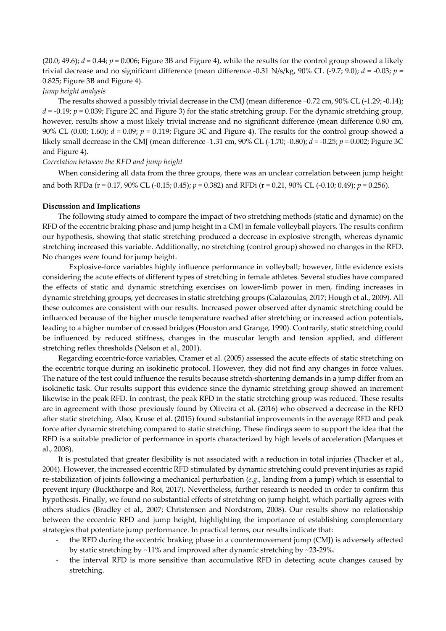(20.0; 49.6);  $d = 0.44$ ;  $p = 0.006$ ; Figure 3B and Figure 4), while the results for the control group showed a likely trivial decrease and no significant difference (mean difference -0.31 N/s/kg, 90% CL (-9.7; 9.0); *d* = -0.03; *p* = 0.825; Figure 3B and Figure 4).

*Jump height analysis* 

The results showed a possibly trivial decrease in the CMJ (mean difference −0.72 cm, 90% CL (-1.29; -0.14);  $d = -0.19$ ;  $p = 0.039$ ; Figure 2C and Figure 3) for the static stretching group. For the dynamic stretching group, however, results show a most likely trivial increase and no significant difference (mean difference 0.80 cm, 90% CL (0.00; 1.60); *d* = 0.09; *p* = 0.119; Figure 3C and Figure 4). The results for the control group showed a likely small decrease in the CMJ (mean difference -1.31 cm, 90% CL (-1.70; -0.80); *d* = -0.25; *p* = 0.002; Figure 3C and Figure 4).

# *Correlation between the RFD and jump height*

When considering all data from the three groups, there was an unclear correlation between jump height and both RFDa (r = 0.17, 90% CL (-0.15; 0.45); *p* = 0.382) and RFDi (r = 0.21, 90% CL (-0.10; 0.49); *p* = 0.256).

#### **Discussion and Implications**

The following study aimed to compare the impact of two stretching methods (static and dynamic) on the RFD of the eccentric braking phase and jump height in a CMJ in female volleyball players. The results confirm our hypothesis, showing that static stretching produced a decrease in explosive strength, whereas dynamic stretching increased this variable. Additionally, no stretching (control group) showed no changes in the RFD. No changes were found for jump height.

Explosive-force variables highly influence performance in volleyball; however, little evidence exists considering the acute effects of different types of stretching in female athletes. Several studies have compared the effects of static and dynamic stretching exercises on lower-limb power in men, finding increases in dynamic stretching groups, yet decreases in static stretching groups (Galazoulas, 2017; Hough et al., 2009). All these outcomes are consistent with our results. Increased power observed after dynamic stretching could be influenced because of the higher muscle temperature reached after stretching or increased action potentials, leading to a higher number of crossed bridges (Houston and Grange, 1990). Contrarily, static stretching could be influenced by reduced stiffness, changes in the muscular length and tension applied, and different stretching reflex thresholds (Nelson et al., 2001).

 Regarding eccentric-force variables, Cramer et al. (2005) assessed the acute effects of static stretching on the eccentric torque during an isokinetic protocol. However, they did not find any changes in force values. The nature of the test could influence the results because stretch-shortening demands in a jump differ from an isokinetic task. Our results support this evidence since the dynamic stretching group showed an increment likewise in the peak RFD. In contrast, the peak RFD in the static stretching group was reduced. These results are in agreement with those previously found by Oliveira et al. (2016) who observed a decrease in the RFD after static stretching. Also, Kruse et al. (2015) found substantial improvements in the average RFD and peak force after dynamic stretching compared to static stretching. These findings seem to support the idea that the RFD is a suitable predictor of performance in sports characterized by high levels of acceleration (Marques et al., 2008).

 It is postulated that greater flexibility is not associated with a reduction in total injuries (Thacker et al., 2004). However, the increased eccentric RFD stimulated by dynamic stretching could prevent injuries as rapid re-stabilization of joints following a mechanical perturbation (*e.g*., landing from a jump) which is essential to prevent injury (Buckthorpe and Roi, 2017). Nevertheless, further research is needed in order to confirm this hypothesis. Finally, we found no substantial effects of stretching on jump height, which partially agrees with others studies (Bradley et al., 2007; Christensen and Nordstrom, 2008). Our results show no relationship between the eccentric RFD and jump height, highlighting the importance of establishing complementary strategies that potentiate jump performance. In practical terms, our results indicate that:

- the RFD during the eccentric braking phase in a countermovement jump (CMJ) is adversely affected by static stretching by ~11% and improved after dynamic stretching by ~23-29%.
- the interval RFD is more sensitive than accumulative RFD in detecting acute changes caused by stretching.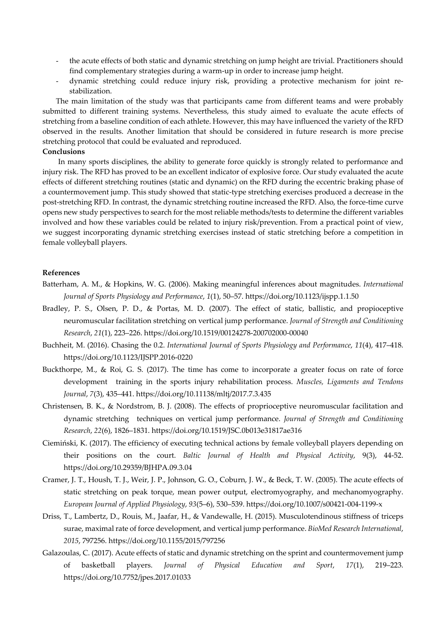- the acute effects of both static and dynamic stretching on jump height are trivial. Practitioners should find complementary strategies during a warm-up in order to increase jump height.
- dynamic stretching could reduce injury risk, providing a protective mechanism for joint restabilization.

The main limitation of the study was that participants came from different teams and were probably submitted to different training systems. Nevertheless, this study aimed to evaluate the acute effects of stretching from a baseline condition of each athlete. However, this may have influenced the variety of the RFD observed in the results. Another limitation that should be considered in future research is more precise stretching protocol that could be evaluated and reproduced.

# **Conclusions**

In many sports disciplines, the ability to generate force quickly is strongly related to performance and injury risk. The RFD has proved to be an excellent indicator of explosive force. Our study evaluated the acute effects of different stretching routines (static and dynamic) on the RFD during the eccentric braking phase of a countermovement jump. This study showed that static-type stretching exercises produced a decrease in the post-stretching RFD. In contrast, the dynamic stretching routine increased the RFD. Also, the force-time curve opens new study perspectives to search for the most reliable methods/tests to determine the different variables involved and how these variables could be related to injury risk/prevention. From a practical point of view, we suggest incorporating dynamic stretching exercises instead of static stretching before a competition in female volleyball players.

#### **References**

- Batterham, A. M., & Hopkins, W. G. (2006). Making meaningful inferences about magnitudes. *International Journal of Sports Physiology and Performance*, *1*(1), 50–57. https://doi.org/10.1123/ijspp.1.1.50
- Bradley, P. S., Olsen, P. D., & Portas, M. D. (2007). The effect of static, ballistic, and propioceptive neuromuscular facilitation stretching on vertical jump performance. *Journal of Strength and Conditioning Research*, *21*(1), 223–226. https://doi.org/10.1519/00124278-200702000-00040
- Buchheit, M. (2016). Chasing the 0.2. *International Journal of Sports Physiology and Performance*, *11*(4), 417–418. https://doi.org/10.1123/IJSPP.2016-0220
- Buckthorpe, M., & Roi, G. S. (2017). The time has come to incorporate a greater focus on rate of force development training in the sports injury rehabilitation process. *Muscles, Ligaments and Tendons Journal*, *7*(3), 435–441. https://doi.org/10.11138/mltj/2017.7.3.435
- Christensen, B. K., & Nordstrom, B. J. (2008). The effects of proprioceptive neuromuscular facilitation and dynamic stretching techniques on vertical jump performance. *Journal of Strength and Conditioning Research*, *22*(6), 1826–1831. https://doi.org/10.1519/JSC.0b013e31817ae316
- Ciemiński, K. (2017). The efficiency of executing technical actions by female volleyball players depending on their positions on the court. *Baltic Journal of Health and Physical Activity*, 9(3), 44-52. https://doi.org/10.29359/BJHPA.09.3.04
- Cramer, J. T., Housh, T. J., Weir, J. P., Johnson, G. O., Coburn, J. W., & Beck, T. W. (2005). The acute effects of static stretching on peak torque, mean power output, electromyography, and mechanomyography. *European Journal of Applied Physiology*, *93*(5–6), 530–539. https://doi.org/10.1007/s00421-004-1199-x
- Driss, T., Lambertz, D., Rouis, M., Jaafar, H., & Vandewalle, H. (2015). Musculotendinous stiffness of triceps surae, maximal rate of force development, and vertical jump performance. *BioMed Research International*, *2015*, 797256. https://doi.org/10.1155/2015/797256
- Galazoulas, C. (2017). Acute effects of static and dynamic stretching on the sprint and countermovement jump of basketball players. *Journal of Physical Education and Sport*, *17*(1), 219–223. https://doi.org/10.7752/jpes.2017.01033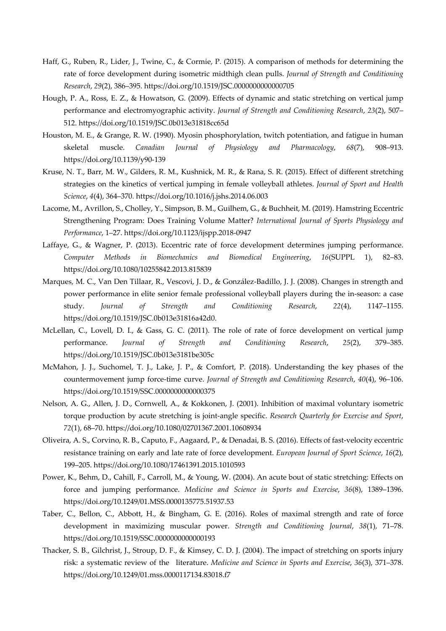- Haff, G., Ruben, R., Lider, J., Twine, C., & Cormie, P. (2015). A comparison of methods for determining the rate of force development during isometric midthigh clean pulls. *Journal of Strength and Conditioning Research*, *29*(2), 386–395. https://doi.org/10.1519/JSC.0000000000000705
- Hough, P. A., Ross, E. Z., & Howatson, G. (2009). Effects of dynamic and static stretching on vertical jump performance and electromyographic activity. *Journal of Strength and Conditioning Research*, *23*(2), 507– 512. https://doi.org/10.1519/JSC.0b013e31818cc65d
- Houston, M. E., & Grange, R. W. (1990). Myosin phosphorylation, twitch potentiation, and fatigue in human skeletal muscle. *Canadian Journal of Physiology and Pharmacology*, *68*(7), 908–913. https://doi.org/10.1139/y90-139
- Kruse, N. T., Barr, M. W., Gilders, R. M., Kushnick, M. R., & Rana, S. R. (2015). Effect of different stretching strategies on the kinetics of vertical jumping in female volleyball athletes. *Journal of Sport and Health Science*, *4*(4), 364–370. https://doi.org/10.1016/j.jshs.2014.06.003
- Lacome, M., Avrillon, S., Cholley, Y., Simpson, B. M., Guilhem, G., & Buchheit, M. (2019). Hamstring Eccentric Strengthening Program: Does Training Volume Matter? *International Journal of Sports Physiology and Performance*, 1–27. https://doi.org/10.1123/ijspp.2018-0947
- Laffaye, G., & Wagner, P. (2013). Eccentric rate of force development determines jumping performance. *Computer Methods in Biomechanics and Biomedical Engineering*, *16*(SUPPL 1), 82–83. https://doi.org/10.1080/10255842.2013.815839
- Marques, M. C., Van Den Tillaar, R., Vescovi, J. D., & González-Badillo, J. J. (2008). Changes in strength and power performance in elite senior female professional volleyball players during the in-season: a case study. *Journal of Strength and Conditioning Research*, *22*(4), 1147–1155. https://doi.org/10.1519/JSC.0b013e31816a42d0.
- McLellan, C., Lovell, D. I., & Gass, G. C. (2011). The role of rate of force development on vertical jump performance. *Journal of Strength and Conditioning Research*, *25*(2), 379–385. https://doi.org/10.1519/JSC.0b013e3181be305c
- McMahon, J. J., Suchomel, T. J., Lake, J. P., & Comfort, P. (2018). Understanding the key phases of the countermovement jump force-time curve. *Journal of Strength and Conditioning Research*, *40*(4), 96–106. https://doi.org/10.1519/SSC.0000000000000375
- Nelson, A. G., Allen, J. D., Cornwell, A., & Kokkonen, J. (2001). Inhibition of maximal voluntary isometric torque production by acute stretching is joint-angle specific. *Research Quarterly for Exercise and Sport*, *72*(1), 68–70. https://doi.org/10.1080/02701367.2001.10608934
- Oliveira, A. S., Corvino, R. B., Caputo, F., Aagaard, P., & Denadai, B. S. (2016). Effects of fast-velocity eccentric resistance training on early and late rate of force development. *European Journal of Sport Science*, *16*(2), 199–205. https://doi.org/10.1080/17461391.2015.1010593
- Power, K., Behm, D., Cahill, F., Carroll, M., & Young, W. (2004). An acute bout of static stretching: Effects on force and jumping performance. *Medicine and Science in Sports and Exercise*, *36*(8), 1389–1396. https://doi.org/10.1249/01.MSS.0000135775.51937.53
- Taber, C., Bellon, C., Abbott, H., & Bingham, G. E. (2016). Roles of maximal strength and rate of force development in maximizing muscular power. *Strength and Conditioning Journal*, *38*(1), 71–78. https://doi.org/10.1519/SSC.0000000000000193
- Thacker, S. B., Gilchrist, J., Stroup, D. F., & Kimsey, C. D. J. (2004). The impact of stretching on sports injury risk: a systematic review of the literature. *Medicine and Science in Sports and Exercise*, *36*(3), 371–378. https://doi.org/10.1249/01.mss.0000117134.83018.f7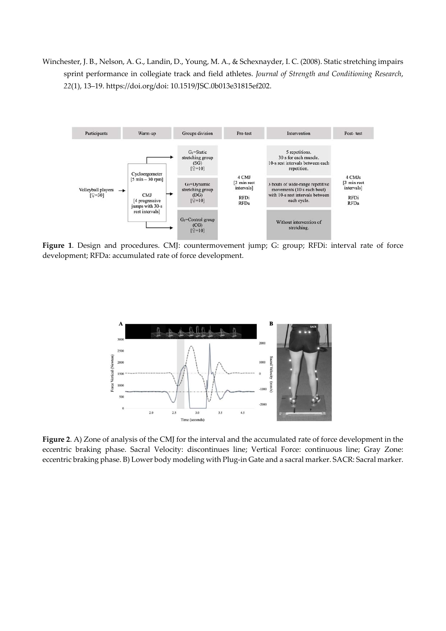Winchester, J. B., Nelson, A. G., Landin, D., Young, M. A., & Schexnayder, I. C. (2008). Static stretching impairs sprint performance in collegiate track and field athletes. *Journal of Strength and Conditioning Research*, *22*(1), 13–19. https://doi.org/doi: 10.1519/JSC.0b013e31815ef202.



**Figure 1**. Design and procedures. CMJ: countermovement jump; G: group; RFDi: interval rate of force development; RFDa: accumulated rate of force development.



**Figure 2**. A) Zone of analysis of the CMJ for the interval and the accumulated rate of force development in the eccentric braking phase. Sacral Velocity: discontinues line; Vertical Force: continuous line; Gray Zone: eccentric braking phase. B) Lower body modeling with Plug-in Gate and a sacral marker. SACR: Sacral marker.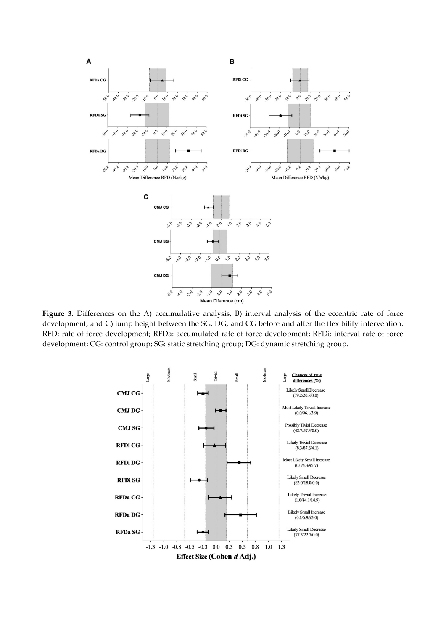

**Figure 3**. Differences on the A) accumulative analysis, B) interval analysis of the eccentric rate of force development, and C) jump height between the SG, DG, and CG before and after the flexibility intervention. RFD: rate of force development; RFDa: accumulated rate of force development; RFDi: interval rate of force development; CG: control group; SG: static stretching group; DG: dynamic stretching group.